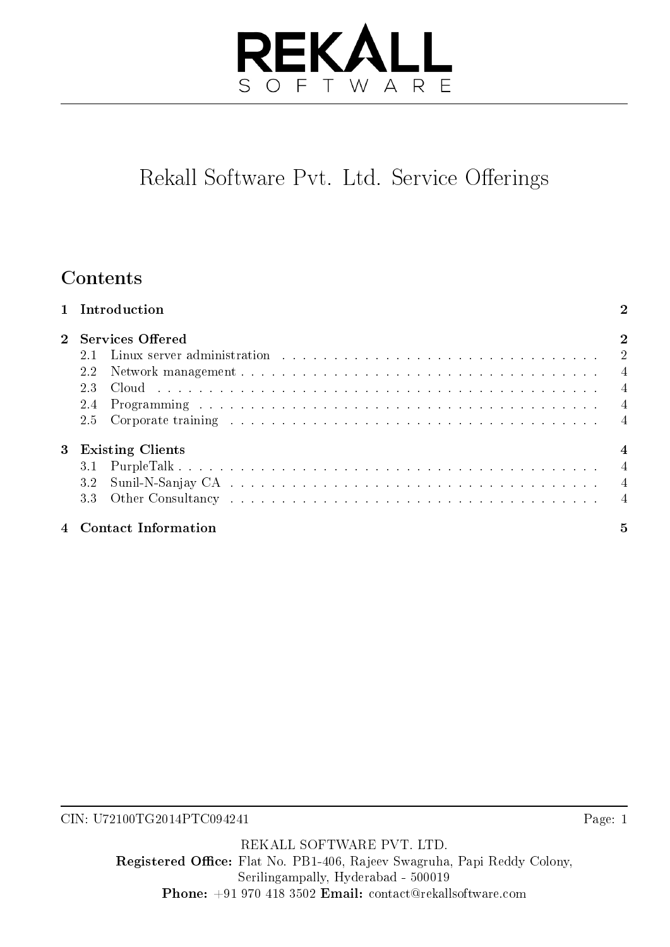## **REKAI** OFTWARE S

# Rekall Software Pvt. Ltd. Service Offerings

## Contents

|  | 1 Introduction                                                                                                            | $\overline{2}$ |
|--|---------------------------------------------------------------------------------------------------------------------------|----------------|
|  | 2 Services Offered                                                                                                        | $\overline{2}$ |
|  | Linux server administration (a) and a contract the contract of the contract of the contract of the contract of $2$<br>2.1 |                |
|  | 2.2                                                                                                                       |                |
|  | 2.3                                                                                                                       |                |
|  | 2.4                                                                                                                       |                |
|  |                                                                                                                           |                |
|  | 3 Existing Clients                                                                                                        | $\overline{4}$ |
|  | 3.1                                                                                                                       |                |
|  | 3.2                                                                                                                       |                |
|  |                                                                                                                           |                |
|  | 4 Contact Information                                                                                                     | 5              |

CIN: U72100TG2014PTC094241

REKALL SOFTWARE PVT. LTD. Registered Office: Flat No. PB1-406, Rajeev Swagruha, Papi Reddy Colony, Serilingampally, Hyderabad - 500019 Phone: +91 970 418 3502 Email: contact@rekallsoftware.com

Page: 1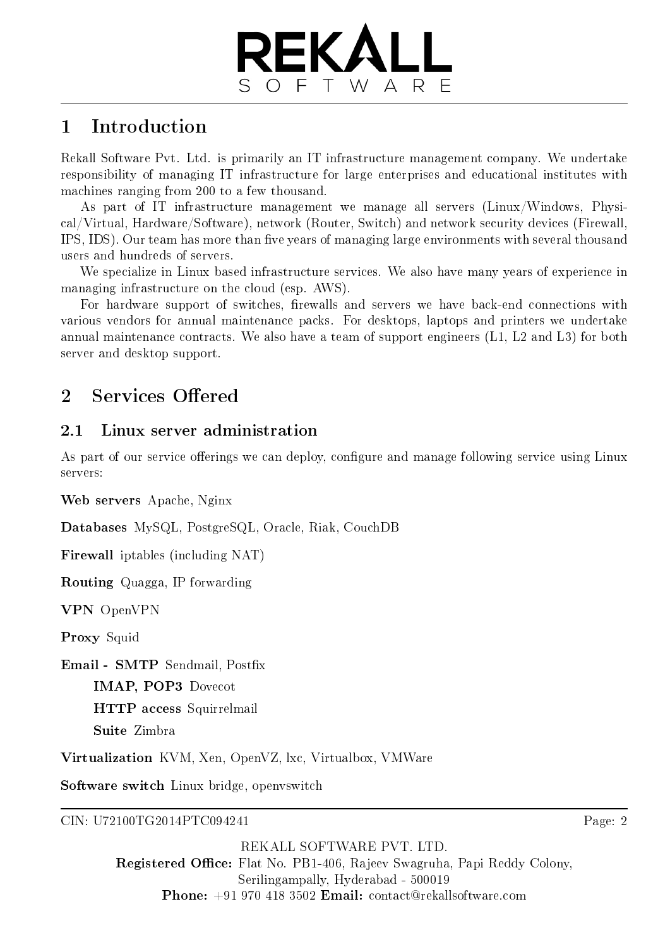

### <span id="page-1-0"></span>1 Introduction

Rekall Software Pvt. Ltd. is primarily an IT infrastructure management company. We undertake responsibility of managing IT infrastructure for large enterprises and educational institutes with machines ranging from 200 to a few thousand.

As part of IT infrastructure management we manage all servers (Linux/Windows, Physical/Virtual, Hardware/Software), network (Router, Switch) and network security devices (Firewall, IPS, IDS). Our team has more than five years of managing large environments with several thousand users and hundreds of servers.

We specialize in Linux based infrastructure services. We also have many years of experience in managing infrastructure on the cloud (esp. AWS).

For hardware support of switches, firewalls and servers we have back-end connections with various vendors for annual maintenance packs. For desktops, laptops and printers we undertake annual maintenance contracts. We also have a team of support engineers (L1, L2 and L3) for both server and desktop support.

## <span id="page-1-1"></span>2 Services Offered

#### <span id="page-1-2"></span>2.1 Linux server administration

As part of our service offerings we can deploy, configure and manage following service using Linux servers:

Web servers Apache, Nginx

Databases MySQL, PostgreSQL, Oracle, Riak, CouchDB

Firewall iptables (including NAT)

Routing Quagga, IP forwarding

VPN OpenVPN

Proxy Squid

Email - SMTP Sendmail, Postfix

IMAP, POP3 Dovecot

HTTP access Squirrelmail

Suite Zimbra

Virtualization KVM, Xen, OpenVZ, lxc, Virtualbox, VMWare

Software switch Linux bridge, openvswitch

CIN: U72100TG2014PTC094241

Page: 2

REKALL SOFTWARE PVT. LTD. Registered Office: Flat No. PB1-406, Rajeev Swagruha, Papi Reddy Colony, Serilingampally, Hyderabad - 500019 Phone: +91 970 418 3502 Email: contact@rekallsoftware.com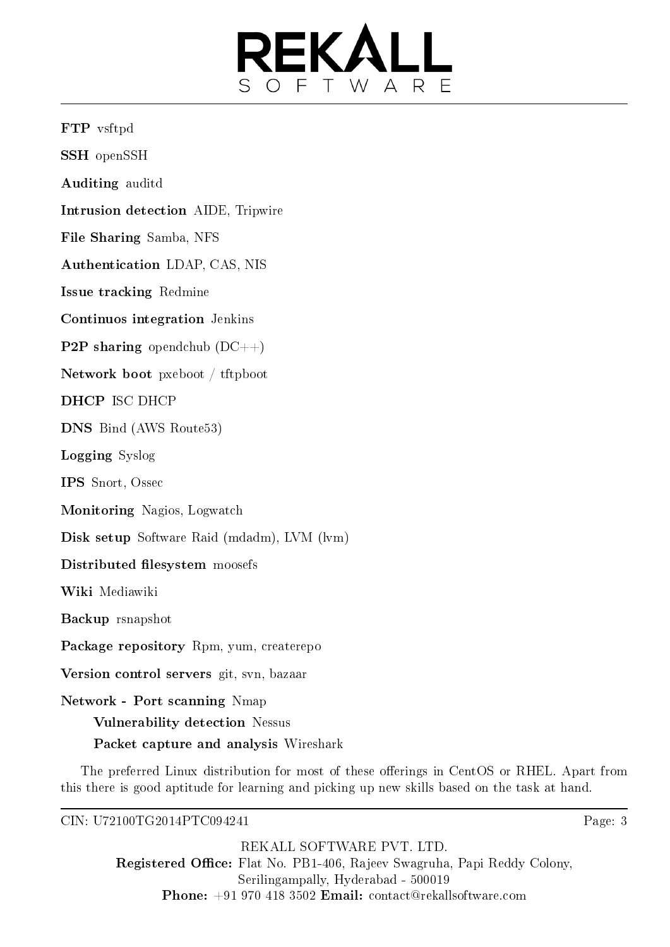

FTP vsftpd

SSH openSSH

Auditing auditd

Intrusion detection AIDE, Tripwire

File Sharing Samba, NFS

Authentication LDAP, CAS, NIS

Issue tracking Redmine

Continuos integration Jenkins

**P2P sharing** opendchub  $(DC++)$ 

Network boot pxeboot / tftpboot

DHCP ISC DHCP

DNS Bind (AWS Route53)

Logging Syslog

IPS Snort, Ossec

Monitoring Nagios, Logwatch

Disk setup Software Raid (mdadm), LVM (lvm)

#### Distributed filesystem moosefs

Wiki Mediawiki

Backup rsnapshot

Package repository Rpm, yum, createrepo

Version control servers git, svn, bazaar

Network - Port scanning Nmap

Vulnerability detection Nessus

Packet capture and analysis Wireshark

The preferred Linux distribution for most of these offerings in CentOS or RHEL. Apart from this there is good aptitude for learning and picking up new skills based on the task at hand.

CIN: U72100TG2014PTC094241

Page: 3

REKALL SOFTWARE PVT. LTD. Registered Office: Flat No. PB1-406, Rajeev Swagruha, Papi Reddy Colony, Serilingampally, Hyderabad - 500019 Phone: +91 970 418 3502 Email: contact@rekallsoftware.com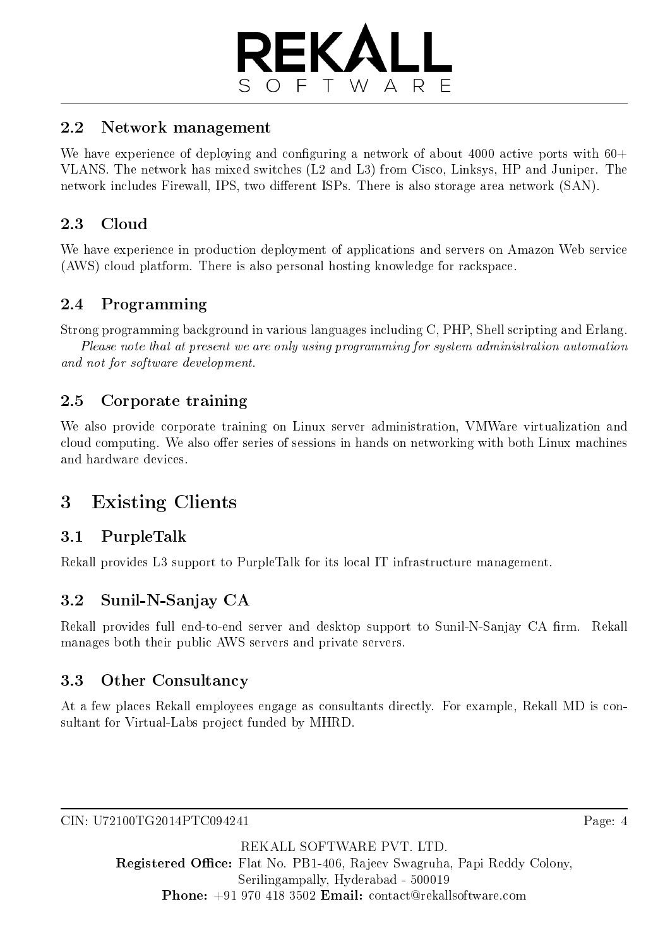

#### <span id="page-3-0"></span>2.2 Network management

We have experience of deploying and configuring a network of about 4000 active ports with  $60+$ VLANS. The network has mixed switches (L2 and L3) from Cisco, Linksys, HP and Juniper. The network includes Firewall, IPS, two different ISPs. There is also storage area network (SAN).

#### <span id="page-3-1"></span>2.3 Cloud

We have experience in production deployment of applications and servers on Amazon Web service (AWS) cloud platform. There is also personal hosting knowledge for rackspace.

#### <span id="page-3-2"></span>2.4 Programming

Strong programming background in various languages including C, PHP, Shell scripting and Erlang. Please note that at present we are only using programming for system administration automation

and not for software development.

#### <span id="page-3-3"></span>2.5 Corporate training

We also provide corporate training on Linux server administration, VMWare virtualization and cloud computing. We also offer series of sessions in hands on networking with both Linux machines and hardware devices.

### <span id="page-3-4"></span>3 Existing Clients

#### <span id="page-3-5"></span>3.1 PurpleTalk

Rekall provides L3 support to PurpleTalk for its local IT infrastructure management.

#### <span id="page-3-6"></span>3.2 Sunil-N-Sanjay CA

Rekall provides full end-to-end server and desktop support to Sunil-N-Sanjay CA firm. Rekall manages both their public AWS servers and private servers.

#### <span id="page-3-7"></span>3.3 Other Consultancy

At a few places Rekall employees engage as consultants directly. For example, Rekall MD is consultant for Virtual-Labs project funded by MHRD.

CIN: U72100TG2014PTC094241

Page: 4

REKALL SOFTWARE PVT. LTD. Registered Office: Flat No. PB1-406, Rajeev Swagruha, Papi Reddy Colony, Serilingampally, Hyderabad - 500019 Phone: +91 970 418 3502 Email: contact@rekallsoftware.com